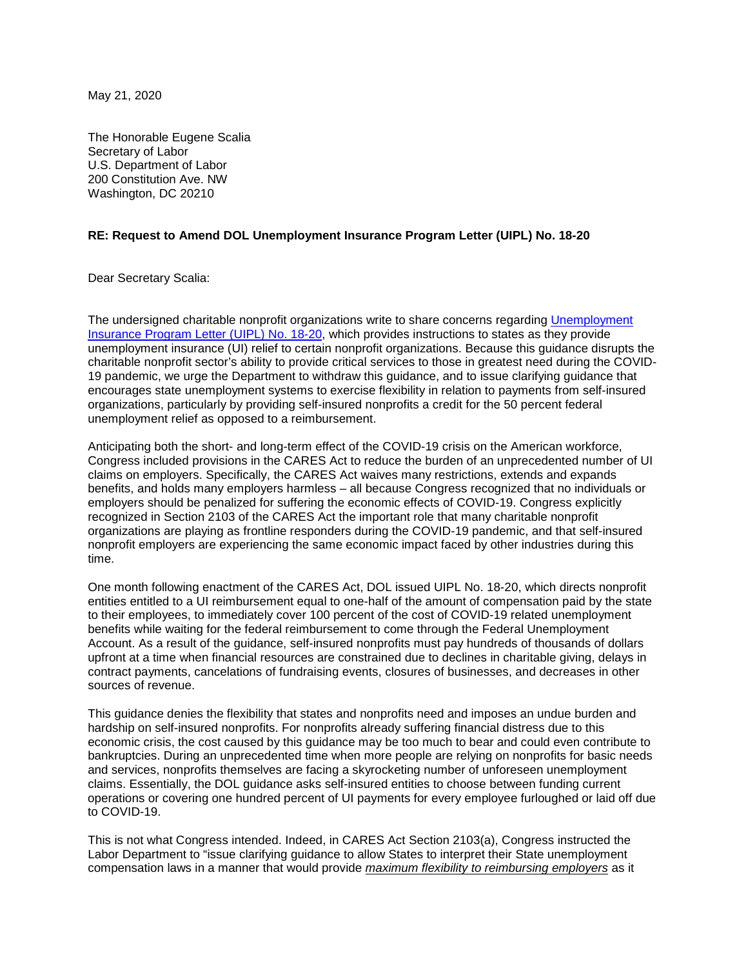May 21, 2020

The Honorable Eugene Scalia Secretary of Labor U.S. Department of Labor 200 Constitution Ave. NW Washington, DC 20210

## **RE: Request to Amend DOL Unemployment Insurance Program Letter (UIPL) No. 18-20**

Dear Secretary Scalia:

The undersigned charitable nonprofit organizations write to share concerns regarding [Unemployment](https://wdr.doleta.gov/directives/attach/UIPL/UIPL_18-20.pdf)  [Insurance Program Letter \(UIPL\) No. 18-20,](https://wdr.doleta.gov/directives/attach/UIPL/UIPL_18-20.pdf) which provides instructions to states as they provide unemployment insurance (UI) relief to certain nonprofit organizations. Because this guidance disrupts the charitable nonprofit sector's ability to provide critical services to those in greatest need during the COVID-19 pandemic, we urge the Department to withdraw this guidance, and to issue clarifying guidance that encourages state unemployment systems to exercise flexibility in relation to payments from self-insured organizations, particularly by providing self-insured nonprofits a credit for the 50 percent federal unemployment relief as opposed to a reimbursement.

Anticipating both the short- and long-term effect of the COVID-19 crisis on the American workforce, Congress included provisions in the CARES Act to reduce the burden of an unprecedented number of UI claims on employers. Specifically, the CARES Act waives many restrictions, extends and expands benefits, and holds many employers harmless – all because Congress recognized that no individuals or employers should be penalized for suffering the economic effects of COVID-19. Congress explicitly recognized in Section 2103 of the CARES Act the important role that many charitable nonprofit organizations are playing as frontline responders during the COVID-19 pandemic, and that self-insured nonprofit employers are experiencing the same economic impact faced by other industries during this time.

One month following enactment of the CARES Act, DOL issued UIPL No. 18-20, which directs nonprofit entities entitled to a UI reimbursement equal to one-half of the amount of compensation paid by the state to their employees, to immediately cover 100 percent of the cost of COVID-19 related unemployment benefits while waiting for the federal reimbursement to come through the Federal Unemployment Account. As a result of the guidance, self-insured nonprofits must pay hundreds of thousands of dollars upfront at a time when financial resources are constrained due to declines in charitable giving, delays in contract payments, cancelations of fundraising events, closures of businesses, and decreases in other sources of revenue.

This guidance denies the flexibility that states and nonprofits need and imposes an undue burden and hardship on self-insured nonprofits. For nonprofits already suffering financial distress due to this economic crisis, the cost caused by this guidance may be too much to bear and could even contribute to bankruptcies. During an unprecedented time when more people are relying on nonprofits for basic needs and services, nonprofits themselves are facing a skyrocketing number of unforeseen unemployment claims. Essentially, the DOL guidance asks self-insured entities to choose between funding current operations or covering one hundred percent of UI payments for every employee furloughed or laid off due to COVID-19.

This is not what Congress intended. Indeed, in CARES Act Section 2103(a), Congress instructed the Labor Department to "issue clarifying guidance to allow States to interpret their State unemployment compensation laws in a manner that would provide *maximum flexibility to reimbursing employers* as it